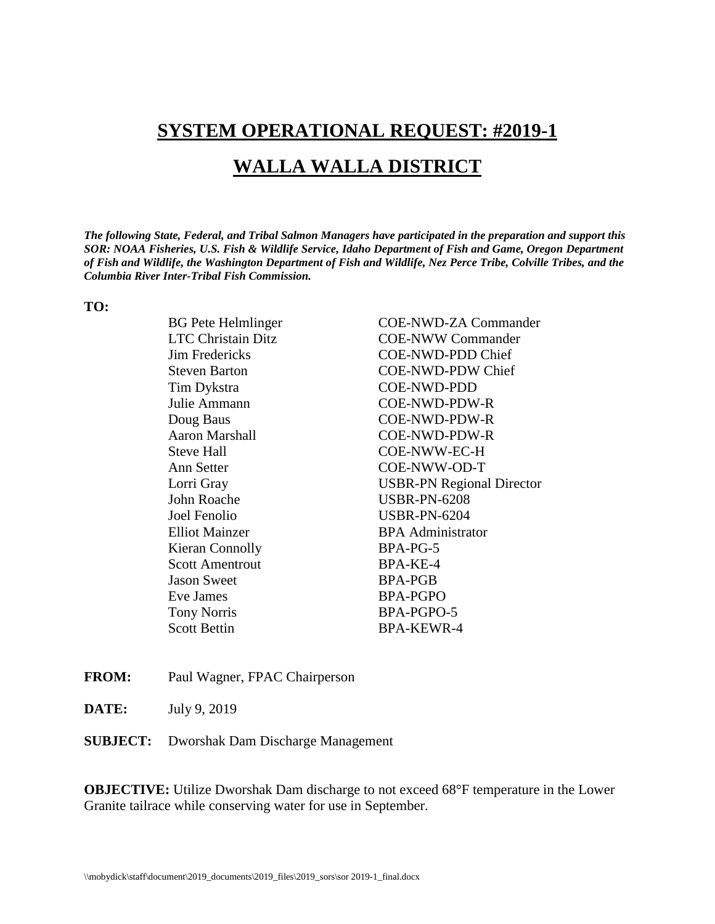# **SYSTEM OPERATIONAL REQUEST: #2019-1**

## **WALLA WALLA DISTRICT**

*The following State, Federal, and Tribal Salmon Managers have participated in the preparation and support this SOR: NOAA Fisheries, U.S. Fish & Wildlife Service, Idaho Department of Fish and Game, Oregon Department of Fish and Wildlife, the Washington Department of Fish and Wildlife, Nez Perce Tribe, Colville Tribes, and the Columbia River Inter-Tribal Fish Commission.* 

#### **TO:**

Tim Dykstra COE-NWD-PDD Julie Ammann COE-NWD-PDW-R Doug Baus COE-NWD-PDW-R Aaron Marshall COE-NWD-PDW-R Steve Hall COE-NWW-EC-H Ann Setter COE-NWW-OD-T John Roache USBR-PN-6208 Joel Fenolio USBR-PN-6204 Elliot Mainzer BPA Administrator Kieran Connolly BPA-PG-5 Scott Amentrout BPA-KE-4 Jason Sweet BPA-PGB Eve James BPA-PGPO Tony Norris BPA-PGPO-5 Scott Bettin BPA-KEWR-4

BG Pete Helmlinger COE-NWD-ZA Commander LTC Christain Ditz COE-NWW Commander Jim Fredericks COE-NWD-PDD Chief Steven Barton COE-NWD-PDW Chief Lorri Gray USBR-PN Regional Director

- **FROM:** Paul Wagner, FPAC Chairperson
- **DATE:** July 9, 2019
- **SUBJECT:** Dworshak Dam Discharge Management

**OBJECTIVE:** Utilize Dworshak Dam discharge to not exceed 68°F temperature in the Lower Granite tailrace while conserving water for use in September.